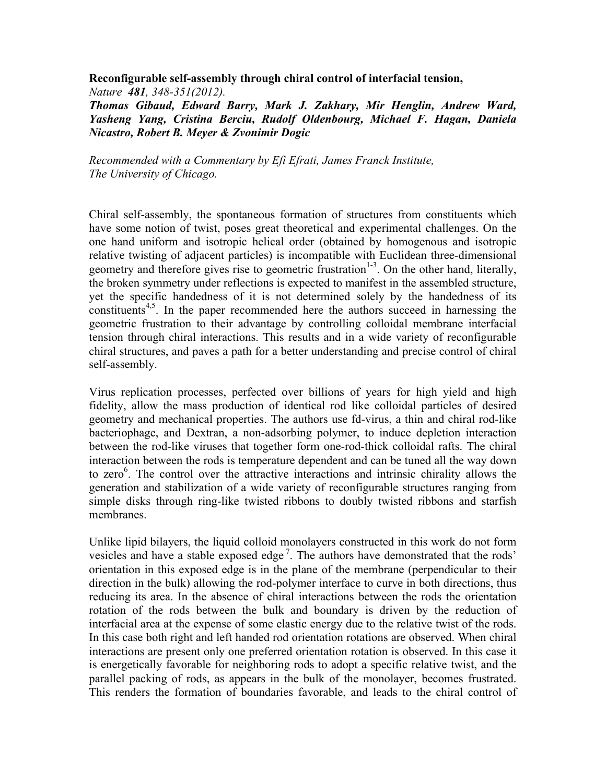**Reconfigurable self-assembly through chiral control of interfacial tension,** 

*Nature 481, 348-351(2012). Thomas Gibaud, Edward Barry, Mark J. Zakhary, Mir Henglin, Andrew Ward, Yasheng Yang, Cristina Berciu, Rudolf Oldenbourg, Michael F. Hagan, Daniela Nicastro, Robert B. Meyer & Zvonimir Dogic* 

*Recommended with a Commentary by Efi Efrati, James Franck Institute, The University of Chicago.*

Chiral self-assembly, the spontaneous formation of structures from constituents which have some notion of twist, poses great theoretical and experimental challenges. On the one hand uniform and isotropic helical order (obtained by homogenous and isotropic relative twisting of adjacent particles) is incompatible with Euclidean three-dimensional geometry and therefore gives rise to geometric frustration<sup>1-3</sup>. On the other hand, literally, the broken symmetry under reflections is expected to manifest in the assembled structure, yet the specific handedness of it is not determined solely by the handedness of its constituents<sup>4,5</sup>. In the paper recommended here the authors succeed in harnessing the geometric frustration to their advantage by controlling colloidal membrane interfacial tension through chiral interactions. This results and in a wide variety of reconfigurable chiral structures, and paves a path for a better understanding and precise control of chiral self-assembly.

Virus replication processes, perfected over billions of years for high yield and high fidelity, allow the mass production of identical rod like colloidal particles of desired geometry and mechanical properties. The authors use fd-virus, a thin and chiral rod-like bacteriophage, and Dextran, a non-adsorbing polymer, to induce depletion interaction between the rod-like viruses that together form one-rod-thick colloidal rafts. The chiral interaction between the rods is temperature dependent and can be tuned all the way down to zero<sup>6</sup>. The control over the attractive interactions and intrinsic chirality allows the generation and stabilization of a wide variety of reconfigurable structures ranging from simple disks through ring-like twisted ribbons to doubly twisted ribbons and starfish membranes.

Unlike lipid bilayers, the liquid colloid monolayers constructed in this work do not form vesicles and have a stable exposed edge<sup>7</sup>. The authors have demonstrated that the rods' orientation in this exposed edge is in the plane of the membrane (perpendicular to their direction in the bulk) allowing the rod-polymer interface to curve in both directions, thus reducing its area. In the absence of chiral interactions between the rods the orientation rotation of the rods between the bulk and boundary is driven by the reduction of interfacial area at the expense of some elastic energy due to the relative twist of the rods. In this case both right and left handed rod orientation rotations are observed. When chiral interactions are present only one preferred orientation rotation is observed. In this case it is energetically favorable for neighboring rods to adopt a specific relative twist, and the parallel packing of rods, as appears in the bulk of the monolayer, becomes frustrated. This renders the formation of boundaries favorable, and leads to the chiral control of